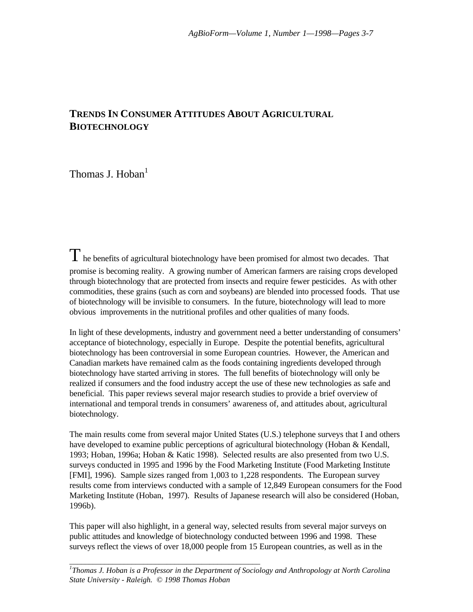# **TRENDS IN CONSUMER ATTITUDES ABOUT AGRICULTURAL BIOTECHNOLOGY**

Thomas J. Hoban $<sup>1</sup>$ </sup>

 $T$  he benefits of agricultural biotechnology have been promised for almost two decades. That promise is becoming reality. A growing number of American farmers are raising crops developed through biotechnology that are protected from insects and require fewer pesticides. As with other commodities, these grains (such as corn and soybeans) are blended into processed foods. That use of biotechnology will be invisible to consumers. In the future, biotechnology will lead to more obvious improvements in the nutritional profiles and other qualities of many foods.

In light of these developments, industry and government need a better understanding of consumers' acceptance of biotechnology, especially in Europe. Despite the potential benefits, agricultural biotechnology has been controversial in some European countries. However, the American and Canadian markets have remained calm as the foods containing ingredients developed through biotechnology have started arriving in stores. The full benefits of biotechnology will only be realized if consumers and the food industry accept the use of these new technologies as safe and beneficial. This paper reviews several major research studies to provide a brief overview of international and temporal trends in consumers' awareness of, and attitudes about, agricultural biotechnology.

The main results come from several major United States (U.S.) telephone surveys that I and others have developed to examine public perceptions of agricultural biotechnology (Hoban & Kendall, 1993; Hoban, 1996a; Hoban & Katic 1998). Selected results are also presented from two U.S. surveys conducted in 1995 and 1996 by the Food Marketing Institute (Food Marketing Institute [FMI], 1996). Sample sizes ranged from 1,003 to 1,228 respondents. The European survey results come from interviews conducted with a sample of 12,849 European consumers for the Food Marketing Institute (Hoban, 1997). Results of Japanese research will also be considered (Hoban, 1996b).

This paper will also highlight, in a general way, selected results from several major surveys on public attitudes and knowledge of biotechnology conducted between 1996 and 1998. These surveys reflect the views of over 18,000 people from 15 European countries, as well as in the

\_\_\_\_\_\_\_\_\_\_\_\_\_\_\_\_\_\_\_\_\_\_\_\_\_\_\_\_\_\_\_\_\_\_\_\_\_\_\_\_\_\_\_\_\_\_\_\_\_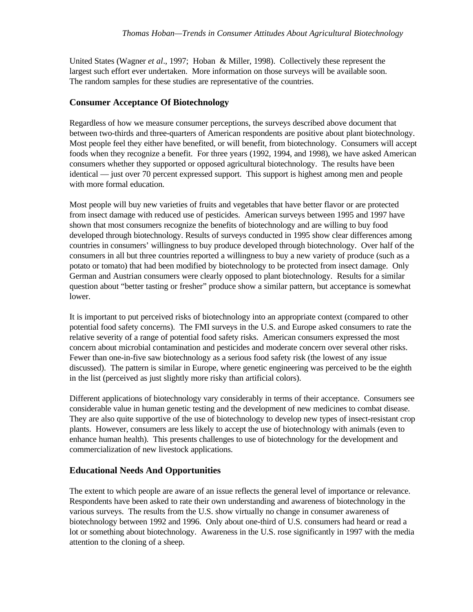United States (Wagner *et al*., 1997; Hoban & Miller, 1998). Collectively these represent the largest such effort ever undertaken. More information on those surveys will be available soon. The random samples for these studies are representative of the countries.

### **Consumer Acceptance Of Biotechnology**

Regardless of how we measure consumer perceptions, the surveys described above document that between two-thirds and three-quarters of American respondents are positive about plant biotechnology. Most people feel they either have benefited, or will benefit, from biotechnology. Consumers will accept foods when they recognize a benefit. For three years (1992, 1994, and 1998), we have asked American consumers whether they supported or opposed agricultural biotechnology. The results have been identical — just over 70 percent expressed support. This support is highest among men and people with more formal education.

Most people will buy new varieties of fruits and vegetables that have better flavor or are protected from insect damage with reduced use of pesticides. American surveys between 1995 and 1997 have shown that most consumers recognize the benefits of biotechnology and are willing to buy food developed through biotechnology. Results of surveys conducted in 1995 show clear differences among countries in consumers' willingness to buy produce developed through biotechnology. Over half of the consumers in all but three countries reported a willingness to buy a new variety of produce (such as a potato or tomato) that had been modified by biotechnology to be protected from insect damage. Only German and Austrian consumers were clearly opposed to plant biotechnology. Results for a similar question about "better tasting or fresher" produce show a similar pattern, but acceptance is somewhat lower.

It is important to put perceived risks of biotechnology into an appropriate context (compared to other potential food safety concerns). The FMI surveys in the U.S. and Europe asked consumers to rate the relative severity of a range of potential food safety risks. American consumers expressed the most concern about microbial contamination and pesticides and moderate concern over several other risks. Fewer than one-in-five saw biotechnology as a serious food safety risk (the lowest of any issue discussed). The pattern is similar in Europe, where genetic engineering was perceived to be the eighth in the list (perceived as just slightly more risky than artificial colors).

Different applications of biotechnology vary considerably in terms of their acceptance. Consumers see considerable value in human genetic testing and the development of new medicines to combat disease. They are also quite supportive of the use of biotechnology to develop new types of insect-resistant crop plants. However, consumers are less likely to accept the use of biotechnology with animals (even to enhance human health). This presents challenges to use of biotechnology for the development and commercialization of new livestock applications.

## **Educational Needs And Opportunities**

The extent to which people are aware of an issue reflects the general level of importance or relevance. Respondents have been asked to rate their own understanding and awareness of biotechnology in the various surveys. The results from the U.S. show virtually no change in consumer awareness of biotechnology between 1992 and 1996. Only about one-third of U.S. consumers had heard or read a lot or something about biotechnology. Awareness in the U.S. rose significantly in 1997 with the media attention to the cloning of a sheep.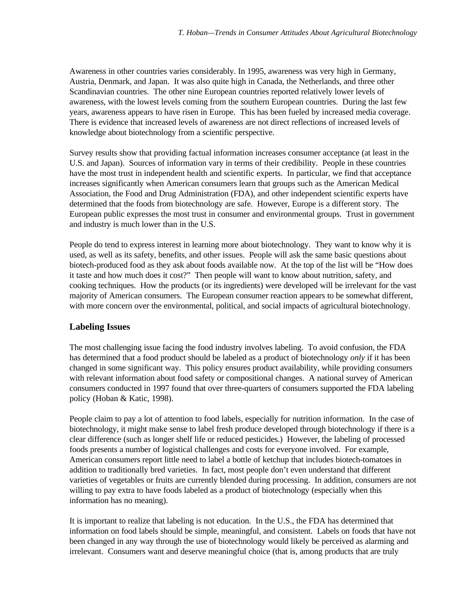Awareness in other countries varies considerably. In 1995, awareness was very high in Germany, Austria, Denmark, and Japan. It was also quite high in Canada, the Netherlands, and three other Scandinavian countries. The other nine European countries reported relatively lower levels of awareness, with the lowest levels coming from the southern European countries. During the last few years, awareness appears to have risen in Europe. This has been fueled by increased media coverage. There is evidence that increased levels of awareness are not direct reflections of increased levels of knowledge about biotechnology from a scientific perspective.

Survey results show that providing factual information increases consumer acceptance (at least in the U.S. and Japan). Sources of information vary in terms of their credibility. People in these countries have the most trust in independent health and scientific experts. In particular, we find that acceptance increases significantly when American consumers learn that groups such as the American Medical Association, the Food and Drug Administration (FDA), and other independent scientific experts have determined that the foods from biotechnology are safe. However, Europe is a different story. The European public expresses the most trust in consumer and environmental groups. Trust in government and industry is much lower than in the U.S.

People do tend to express interest in learning more about biotechnology. They want to know why it is used, as well as its safety, benefits, and other issues. People will ask the same basic questions about biotech-produced food as they ask about foods available now. At the top of the list will be "How does it taste and how much does it cost?" Then people will want to know about nutrition, safety, and cooking techniques. How the products (or its ingredients) were developed will be irrelevant for the vast majority of American consumers. The European consumer reaction appears to be somewhat different, with more concern over the environmental, political, and social impacts of agricultural biotechnology.

#### **Labeling Issues**

The most challenging issue facing the food industry involves labeling. To avoid confusion, the FDA has determined that a food product should be labeled as a product of biotechnology *only* if it has been changed in some significant way. This policy ensures product availability, while providing consumers with relevant information about food safety or compositional changes. A national survey of American consumers conducted in 1997 found that over three-quarters of consumers supported the FDA labeling policy (Hoban & Katic, 1998).

People claim to pay a lot of attention to food labels, especially for nutrition information. In the case of biotechnology, it might make sense to label fresh produce developed through biotechnology if there is a clear difference (such as longer shelf life or reduced pesticides.) However, the labeling of processed foods presents a number of logistical challenges and costs for everyone involved. For example, American consumers report little need to label a bottle of ketchup that includes biotech-tomatoes in addition to traditionally bred varieties. In fact, most people don't even understand that different varieties of vegetables or fruits are currently blended during processing. In addition, consumers are not willing to pay extra to have foods labeled as a product of biotechnology (especially when this information has no meaning).

It is important to realize that labeling is not education. In the U.S., the FDA has determined that information on food labels should be simple, meaningful, and consistent. Labels on foods that have not been changed in any way through the use of biotechnology would likely be perceived as alarming and irrelevant. Consumers want and deserve meaningful choice (that is, among products that are truly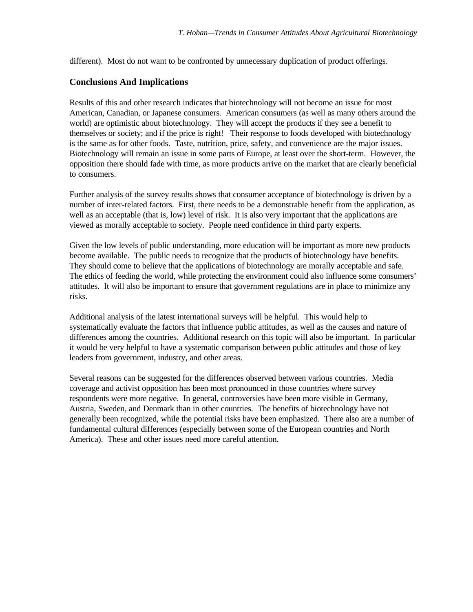different). Most do not want to be confronted by unnecessary duplication of product offerings.

#### **Conclusions And Implications**

Results of this and other research indicates that biotechnology will not become an issue for most American, Canadian, or Japanese consumers. American consumers (as well as many others around the world) are optimistic about biotechnology. They will accept the products if they see a benefit to themselves or society; and if the price is right! Their response to foods developed with biotechnology is the same as for other foods. Taste, nutrition, price, safety, and convenience are the major issues. Biotechnology will remain an issue in some parts of Europe, at least over the short-term. However, the opposition there should fade with time, as more products arrive on the market that are clearly beneficial to consumers.

Further analysis of the survey results shows that consumer acceptance of biotechnology is driven by a number of inter-related factors. First, there needs to be a demonstrable benefit from the application, as well as an acceptable (that is, low) level of risk. It is also very important that the applications are viewed as morally acceptable to society. People need confidence in third party experts.

Given the low levels of public understanding, more education will be important as more new products become available. The public needs to recognize that the products of biotechnology have benefits. They should come to believe that the applications of biotechnology are morally acceptable and safe. The ethics of feeding the world, while protecting the environment could also influence some consumers' attitudes. It will also be important to ensure that government regulations are in place to minimize any risks.

Additional analysis of the latest international surveys will be helpful. This would help to systematically evaluate the factors that influence public attitudes, as well as the causes and nature of differences among the countries. Additional research on this topic will also be important. In particular it would be very helpful to have a systematic comparison between public attitudes and those of key leaders from government, industry, and other areas.

Several reasons can be suggested for the differences observed between various countries. Media coverage and activist opposition has been most pronounced in those countries where survey respondents were more negative. In general, controversies have been more visible in Germany, Austria, Sweden, and Denmark than in other countries. The benefits of biotechnology have not generally been recognized, while the potential risks have been emphasized. There also are a number of fundamental cultural differences (especially between some of the European countries and North America). These and other issues need more careful attention.